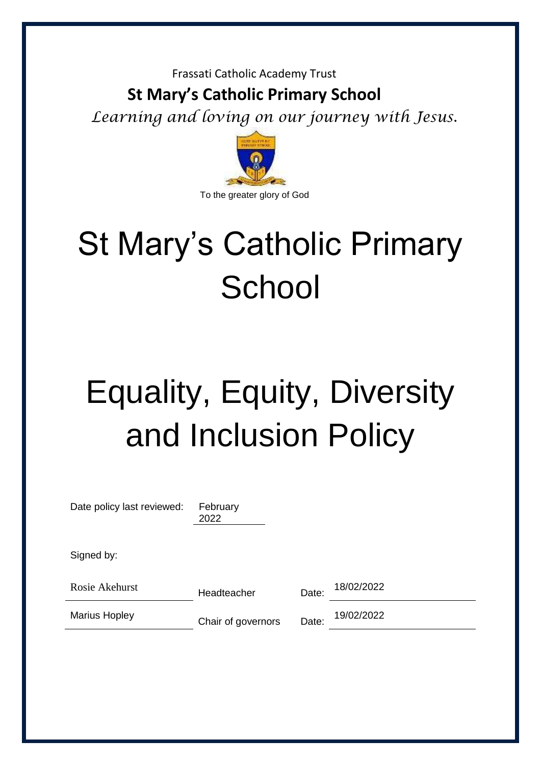#### Frassati Catholic Academy Trust

# **St Mary's Catholic Primary School**

*Learning and loving on our journey with Jesus.* 



# St Mary's Catholic Primary **School**

# Equality, Equity, Diversity and Inclusion Policy

| Date policy last reviewed: | February<br>2022   |       |            |
|----------------------------|--------------------|-------|------------|
| Signed by:                 |                    |       |            |
| Rosie Akehurst             | Headteacher        | Date: | 18/02/2022 |
| <b>Marius Hopley</b>       | Chair of governors | Date: | 19/02/2022 |
|                            |                    |       |            |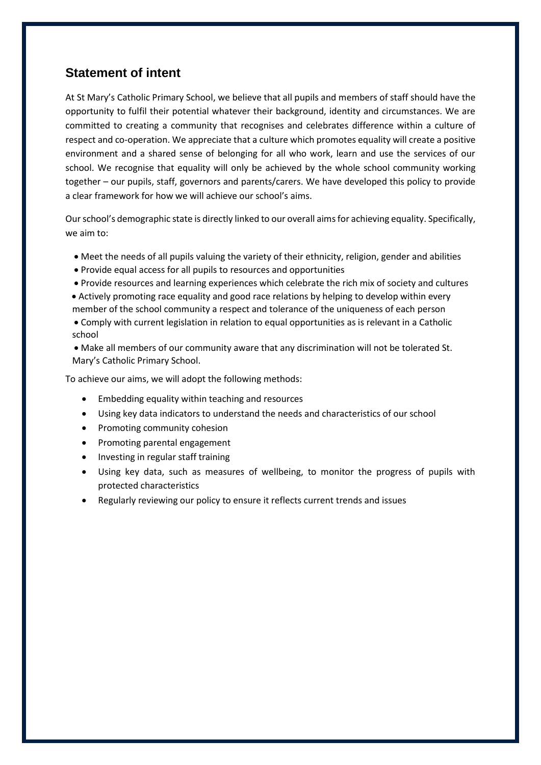#### **Statement of intent**

At St Mary's Catholic Primary School, we believe that all pupils and members of staff should have the opportunity to fulfil their potential whatever their background, identity and circumstances. We are committed to creating a community that recognises and celebrates difference within a culture of respect and co-operation. We appreciate that a culture which promotes equality will create a positive environment and a shared sense of belonging for all who work, learn and use the services of our school. We recognise that equality will only be achieved by the whole school community working together – our pupils, staff, governors and parents/carers. We have developed this policy to provide a clear framework for how we will achieve our school's aims.

Our school's demographic state is directly linked to our overall aims for achieving equality. Specifically, we aim to:

- Meet the needs of all pupils valuing the variety of their ethnicity, religion, gender and abilities
- Provide equal access for all pupils to resources and opportunities
- Provide resources and learning experiences which celebrate the rich mix of society and cultures
- Actively promoting race equality and good race relations by helping to develop within every member of the school community a respect and tolerance of the uniqueness of each person
- Comply with current legislation in relation to equal opportunities as is relevant in a Catholic school
- Make all members of our community aware that any discrimination will not be tolerated St. Mary's Catholic Primary School.

To achieve our aims, we will adopt the following methods:

- Embedding equality within teaching and resources
- Using key data indicators to understand the needs and characteristics of our school
- Promoting community cohesion
- Promoting parental engagement
- Investing in regular staff training
- Using key data, such as measures of wellbeing, to monitor the progress of pupils with protected characteristics
- Regularly reviewing our policy to ensure it reflects current trends and issues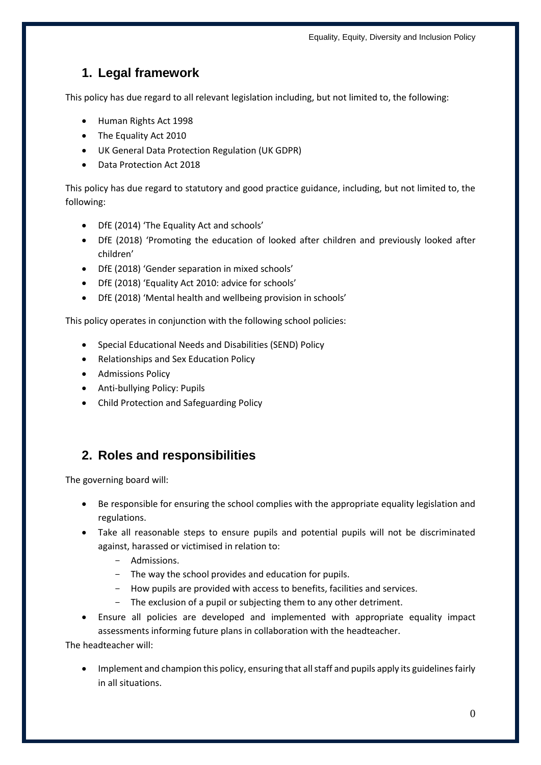## **1. Legal framework**

This policy has due regard to all relevant legislation including, but not limited to, the following:

- Human Rights Act 1998
- The Equality Act 2010
- UK General Data Protection Regulation (UK GDPR)
- Data Protection Act 2018

This policy has due regard to statutory and good practice guidance, including, but not limited to, the following:

- DfE (2014) 'The Equality Act and schools'
- DfE (2018) 'Promoting the education of looked after children and previously looked after children'
- DfE (2018) 'Gender separation in mixed schools'
- DfE (2018) 'Equality Act 2010: advice for schools'
- DfE (2018) 'Mental health and wellbeing provision in schools'

This policy operates in conjunction with the following school policies:

- Special Educational Needs and Disabilities (SEND) Policy
- Relationships and Sex Education Policy
- **•** Admissions Policy
- Anti-bullying Policy: Pupils
- Child Protection and Safeguarding Policy

### **2. Roles and responsibilities**

The governing board will:

- Be responsible for ensuring the school complies with the appropriate equality legislation and regulations.
- Take all reasonable steps to ensure pupils and potential pupils will not be discriminated against, harassed or victimised in relation to:
	- Admissions.
	- The way the school provides and education for pupils.
	- How pupils are provided with access to benefits, facilities and services.
	- The exclusion of a pupil or subjecting them to any other detriment.
- Ensure all policies are developed and implemented with appropriate equality impact assessments informing future plans in collaboration with the headteacher.

The headteacher will:

 Implement and champion this policy, ensuring that all staff and pupils apply its guidelines fairly in all situations.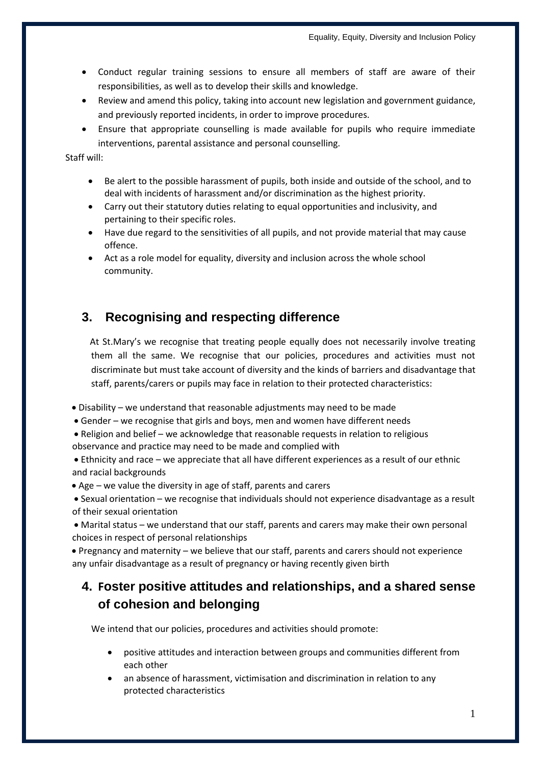- Conduct regular training sessions to ensure all members of staff are aware of their responsibilities, as well as to develop their skills and knowledge.
- Review and amend this policy, taking into account new legislation and government guidance, and previously reported incidents, in order to improve procedures.
- Ensure that appropriate counselling is made available for pupils who require immediate interventions, parental assistance and personal counselling.

Staff will:

- Be alert to the possible harassment of pupils, both inside and outside of the school, and to deal with incidents of harassment and/or discrimination as the highest priority.
- Carry out their statutory duties relating to equal opportunities and inclusivity, and pertaining to their specific roles.
- Have due regard to the sensitivities of all pupils, and not provide material that may cause offence.
- Act as a role model for equality, diversity and inclusion across the whole school community.

#### **3. Recognising and respecting difference**

 At St.Mary's we recognise that treating people equally does not necessarily involve treating them all the same. We recognise that our policies, procedures and activities must not discriminate but must take account of diversity and the kinds of barriers and disadvantage that staff, parents/carers or pupils may face in relation to their protected characteristics:

- Disability we understand that reasonable adjustments may need to be made
- Gender we recognise that girls and boys, men and women have different needs
- Religion and belief we acknowledge that reasonable requests in relation to religious observance and practice may need to be made and complied with
- Ethnicity and race we appreciate that all have different experiences as a result of our ethnic and racial backgrounds
- Age we value the diversity in age of staff, parents and carers
- Sexual orientation we recognise that individuals should not experience disadvantage as a result of their sexual orientation

 Marital status – we understand that our staff, parents and carers may make their own personal choices in respect of personal relationships

 Pregnancy and maternity – we believe that our staff, parents and carers should not experience any unfair disadvantage as a result of pregnancy or having recently given birth

### **4. Foster positive attitudes and relationships, and a shared sense of cohesion and belonging**

We intend that our policies, procedures and activities should promote:

- positive attitudes and interaction between groups and communities different from each other
- an absence of harassment, victimisation and discrimination in relation to any protected characteristics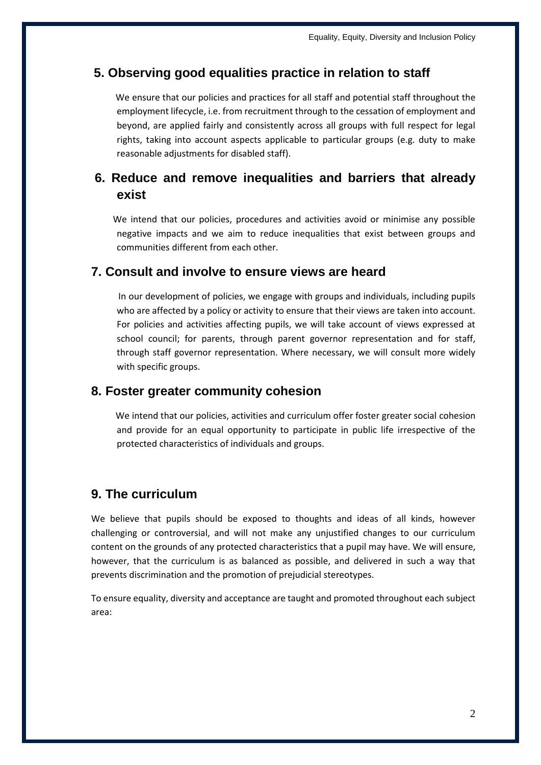### **5. Observing good equalities practice in relation to staff**

 We ensure that our policies and practices for all staff and potential staff throughout the employment lifecycle, i.e. from recruitment through to the cessation of employment and beyond, are applied fairly and consistently across all groups with full respect for legal rights, taking into account aspects applicable to particular groups (e.g. duty to make reasonable adjustments for disabled staff).

## **6. Reduce and remove inequalities and barriers that already exist**

 We intend that our policies, procedures and activities avoid or minimise any possible negative impacts and we aim to reduce inequalities that exist between groups and communities different from each other.

#### **7. Consult and involve to ensure views are heard**

 In our development of policies, we engage with groups and individuals, including pupils who are affected by a policy or activity to ensure that their views are taken into account. For policies and activities affecting pupils, we will take account of views expressed at school council; for parents, through parent governor representation and for staff, through staff governor representation. Where necessary, we will consult more widely with specific groups.

#### **8. Foster greater community cohesion**

 We intend that our policies, activities and curriculum offer foster greater social cohesion and provide for an equal opportunity to participate in public life irrespective of the protected characteristics of individuals and groups.

### **9. The curriculum**

We believe that pupils should be exposed to thoughts and ideas of all kinds, however challenging or controversial, and will not make any unjustified changes to our curriculum content on the grounds of any protected characteristics that a pupil may have. We will ensure, however, that the curriculum is as balanced as possible, and delivered in such a way that prevents discrimination and the promotion of prejudicial stereotypes.

To ensure equality, diversity and acceptance are taught and promoted throughout each subject area: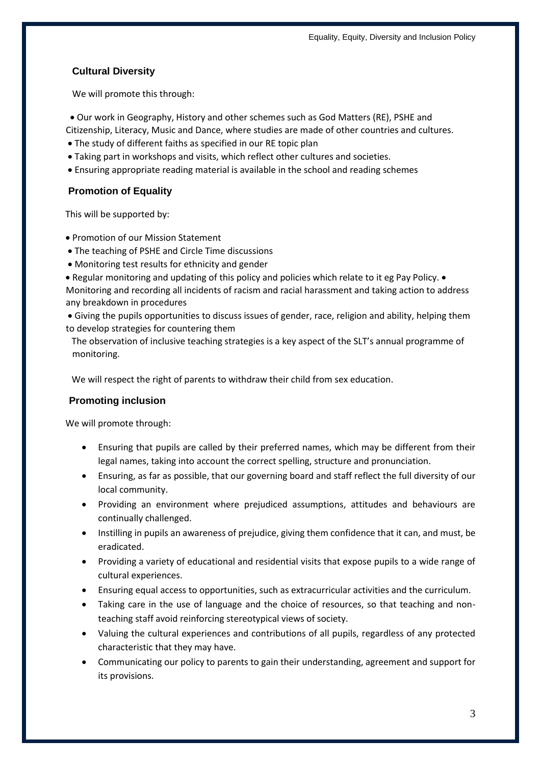#### **Cultural Diversity**

We will promote this through:

Our work in Geography, History and other schemes such as God Matters (RE), PSHE and

Citizenship, Literacy, Music and Dance, where studies are made of other countries and cultures.

- The study of different faiths as specified in our RE topic plan
- Taking part in workshops and visits, which reflect other cultures and societies.
- Ensuring appropriate reading material is available in the school and reading schemes

#### **Promotion of Equality**

This will be supported by:

- Promotion of our Mission Statement
- The teaching of PSHE and Circle Time discussions
- Monitoring test results for ethnicity and gender

• Regular monitoring and updating of this policy and policies which relate to it eg Pay Policy. • Monitoring and recording all incidents of racism and racial harassment and taking action to address any breakdown in procedures

 Giving the pupils opportunities to discuss issues of gender, race, religion and ability, helping them to develop strategies for countering them

The observation of inclusive teaching strategies is a key aspect of the SLT's annual programme of monitoring.

We will respect the right of parents to withdraw their child from sex education.

#### **Promoting inclusion**

We will promote through:

- Ensuring that pupils are called by their preferred names, which may be different from their legal names, taking into account the correct spelling, structure and pronunciation.
- Ensuring, as far as possible, that our governing board and staff reflect the full diversity of our local community.
- Providing an environment where prejudiced assumptions, attitudes and behaviours are continually challenged.
- Instilling in pupils an awareness of prejudice, giving them confidence that it can, and must, be eradicated.
- Providing a variety of educational and residential visits that expose pupils to a wide range of cultural experiences.
- Ensuring equal access to opportunities, such as extracurricular activities and the curriculum.
- Taking care in the use of language and the choice of resources, so that teaching and nonteaching staff avoid reinforcing stereotypical views of society.
- Valuing the cultural experiences and contributions of all pupils, regardless of any protected characteristic that they may have.
- Communicating our policy to parents to gain their understanding, agreement and support for its provisions.